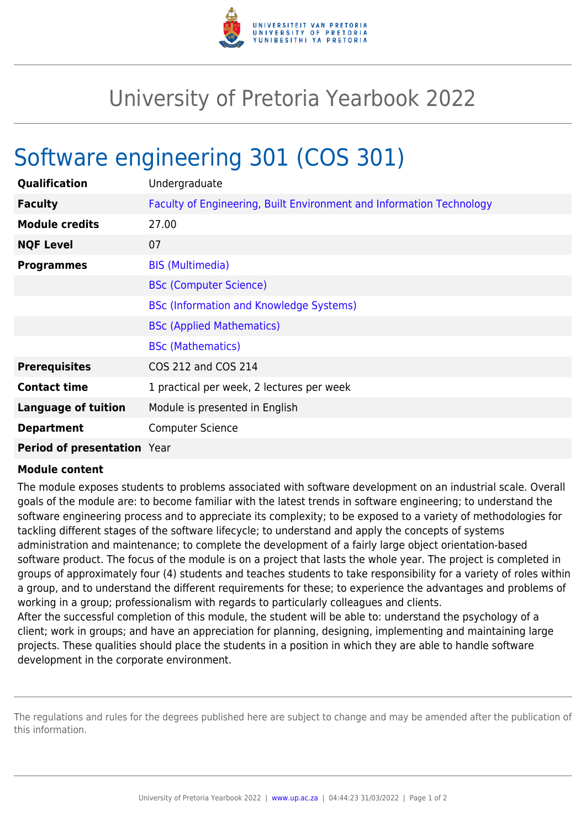

## University of Pretoria Yearbook 2022

## Software engineering 301 (COS 301)

| Qualification               | Undergraduate                                                        |
|-----------------------------|----------------------------------------------------------------------|
| <b>Faculty</b>              | Faculty of Engineering, Built Environment and Information Technology |
| <b>Module credits</b>       | 27.00                                                                |
| <b>NQF Level</b>            | 07                                                                   |
| <b>Programmes</b>           | <b>BIS (Multimedia)</b>                                              |
|                             | <b>BSc (Computer Science)</b>                                        |
|                             | <b>BSc (Information and Knowledge Systems)</b>                       |
|                             | <b>BSc (Applied Mathematics)</b>                                     |
|                             | <b>BSc (Mathematics)</b>                                             |
| <b>Prerequisites</b>        | COS 212 and COS 214                                                  |
| <b>Contact time</b>         | 1 practical per week, 2 lectures per week                            |
| <b>Language of tuition</b>  | Module is presented in English                                       |
| <b>Department</b>           | <b>Computer Science</b>                                              |
| Period of presentation Year |                                                                      |

## **Module content**

The module exposes students to problems associated with software development on an industrial scale. Overall goals of the module are: to become familiar with the latest trends in software engineering; to understand the software engineering process and to appreciate its complexity; to be exposed to a variety of methodologies for tackling different stages of the software lifecycle; to understand and apply the concepts of systems administration and maintenance; to complete the development of a fairly large object orientation-based software product. The focus of the module is on a project that lasts the whole year. The project is completed in groups of approximately four (4) students and teaches students to take responsibility for a variety of roles within a group, and to understand the different requirements for these; to experience the advantages and problems of working in a group; professionalism with regards to particularly colleagues and clients. After the successful completion of this module, the student will be able to: understand the psychology of a

client; work in groups; and have an appreciation for planning, designing, implementing and maintaining large projects. These qualities should place the students in a position in which they are able to handle software development in the corporate environment.

The regulations and rules for the degrees published here are subject to change and may be amended after the publication of this information.